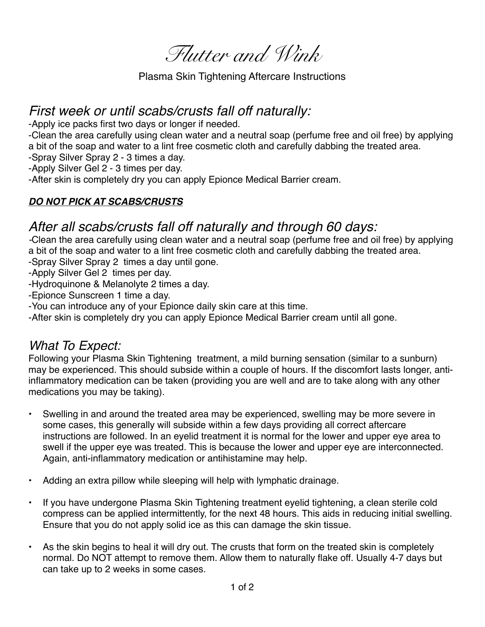*Flutter and Wink* 

Plasma Skin Tightening Aftercare Instructions

## *First week or until scabs/crusts fall off naturally:*

-Apply ice packs first two days or longer if needed.

-Clean the area carefully using clean water and a neutral soap (perfume free and oil free) by applying a bit of the soap and water to a lint free cosmetic cloth and carefully dabbing the treated area.

-Spray Silver Spray 2 - 3 times a day.

-Apply Silver Gel 2 - 3 times per day.

-After skin is completely dry you can apply Epionce Medical Barrier cream.

## *DO NOT PICK AT SCABS/CRUSTS*

## *After all scabs/crusts fall off naturally and through 60 days:*

*-*Clean the area carefully using clean water and a neutral soap (perfume free and oil free) by applying a bit of the soap and water to a lint free cosmetic cloth and carefully dabbing the treated area.

-Spray Silver Spray 2 times a day until gone.

-Apply Silver Gel 2 times per day.

-Hydroquinone & Melanolyte 2 times a day.

-Epionce Sunscreen 1 time a day.

-You can introduce any of your Epionce daily skin care at this time.

-After skin is completely dry you can apply Epionce Medical Barrier cream until all gone.

## *What To Expect:*

Following your Plasma Skin Tightening treatment, a mild burning sensation (similar to a sunburn) may be experienced. This should subside within a couple of hours. If the discomfort lasts longer, antiinflammatory medication can be taken (providing you are well and are to take along with any other medications you may be taking).

- Swelling in and around the treated area may be experienced, swelling may be more severe in some cases, this generally will subside within a few days providing all correct aftercare instructions are followed. In an eyelid treatment it is normal for the lower and upper eye area to swell if the upper eye was treated. This is because the lower and upper eye are interconnected. Again, anti-inflammatory medication or antihistamine may help.
- Adding an extra pillow while sleeping will help with lymphatic drainage.
- If you have undergone Plasma Skin Tightening treatment eyelid tightening, a clean sterile cold compress can be applied intermittently, for the next 48 hours. This aids in reducing initial swelling. Ensure that you do not apply solid ice as this can damage the skin tissue.
- As the skin begins to heal it will dry out. The crusts that form on the treated skin is completely normal. Do NOT attempt to remove them. Allow them to naturally flake off. Usually 4-7 days but can take up to 2 weeks in some cases.